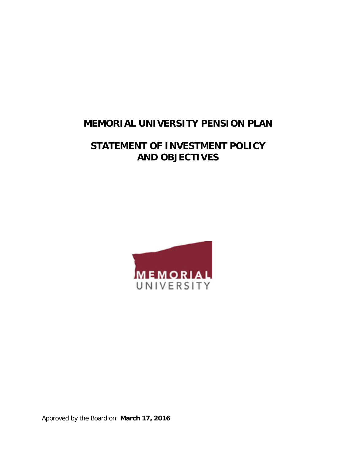# **MEMORIAL UNIVERSITY PENSION PLAN**

# **STATEMENT OF INVESTMENT POLICY AND OBJECTIVES**



Approved by the Board on: **March 17, 2016**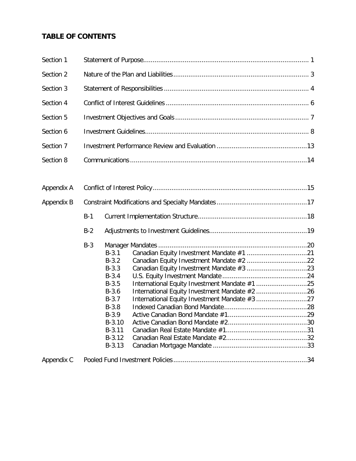# **TABLE OF CONTENTS**

| Section 1  |       |                                                                                                                                                 |  |  |  |  |  |
|------------|-------|-------------------------------------------------------------------------------------------------------------------------------------------------|--|--|--|--|--|
| Section 2  |       |                                                                                                                                                 |  |  |  |  |  |
| Section 3  |       |                                                                                                                                                 |  |  |  |  |  |
| Section 4  |       |                                                                                                                                                 |  |  |  |  |  |
| Section 5  |       |                                                                                                                                                 |  |  |  |  |  |
| Section 6  |       |                                                                                                                                                 |  |  |  |  |  |
| Section 7  |       |                                                                                                                                                 |  |  |  |  |  |
| Section 8  |       |                                                                                                                                                 |  |  |  |  |  |
| Appendix A |       |                                                                                                                                                 |  |  |  |  |  |
| Appendix B |       |                                                                                                                                                 |  |  |  |  |  |
|            | $B-1$ |                                                                                                                                                 |  |  |  |  |  |
|            | $B-2$ |                                                                                                                                                 |  |  |  |  |  |
|            | $B-3$ | $B-3.1$<br>$B-3.2$<br>$B-3.3$<br>$B-3.4$<br>$B-3.5$<br>$B-3.6$<br>$B-3.7$<br>$B-3.8$<br>$B-3.9$<br>$B-3.10$<br>$B-3.11$<br>$B-3.12$<br>$B-3.13$ |  |  |  |  |  |
| Appendix C |       |                                                                                                                                                 |  |  |  |  |  |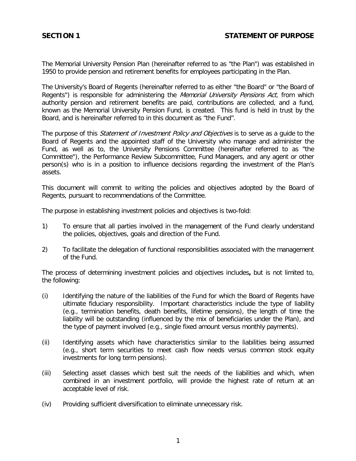<span id="page-2-0"></span>The Memorial University Pension Plan (hereinafter referred to as "the Plan") was established in 1950 to provide pension and retirement benefits for employees participating in the Plan.

The University's Board of Regents (hereinafter referred to as either "the Board" or "the Board of Regents") is responsible for administering the *Memorial University Pensions Act*, from which authority pension and retirement benefits are paid, contributions are collected, and a fund, known as the Memorial University Pension Fund, is created. This fund is held in trust by the Board, and is hereinafter referred to in this document as "the Fund".

The purpose of this *Statement of Investment Policy and Objectives* is to serve as a quide to the Board of Regents and the appointed staff of the University who manage and administer the Fund, as well as to, the University Pensions Committee (hereinafter referred to as "the Committee"), the Performance Review Subcommittee, Fund Managers, and any agent or other person(s) who is in a position to influence decisions regarding the investment of the Plan's assets.

This document will commit to writing the policies and objectives adopted by the Board of Regents, pursuant to recommendations of the Committee.

The purpose in establishing investment policies and objectives is two-fold:

- 1) To ensure that all parties involved in the management of the Fund clearly understand the policies, objectives, goals and direction of the Fund.
- 2) To facilitate the delegation of functional responsibilities associated with the management of the Fund.

The process of determining investment policies and objectives includes**,** but is not limited to, the following:

- (i) Identifying the nature of the liabilities of the Fund for which the Board of Regents have ultimate fiduciary responsibility. Important characteristics include the type of liability (e.g., termination benefits, death benefits, lifetime pensions), the length of time the liability will be outstanding (influenced by the mix of beneficiaries under the Plan), and the type of payment involved (e.g., single fixed amount versus monthly payments).
- (ii) Identifying assets which have characteristics similar to the liabilities being assumed (e.g., short term securities to meet cash flow needs versus common stock equity investments for long term pensions).
- (iii) Selecting asset classes which best suit the needs of the liabilities and which, when combined in an investment portfolio, will provide the highest rate of return at an acceptable level of risk.
- (iv) Providing sufficient diversification to eliminate unnecessary risk.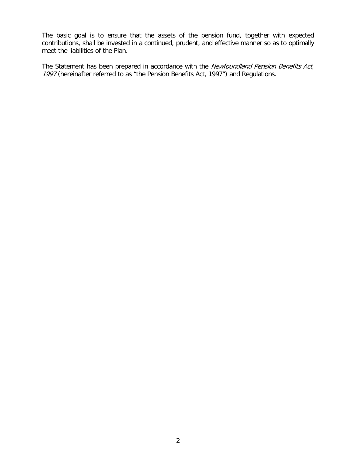The basic goal is to ensure that the assets of the pension fund, together with expected contributions, shall be invested in a continued, prudent, and effective manner so as to optimally meet the liabilities of the Plan.

The Statement has been prepared in accordance with the Newfoundland Pension Benefits Act, 1997 (hereinafter referred to as "the Pension Benefits Act, 1997") and Regulations.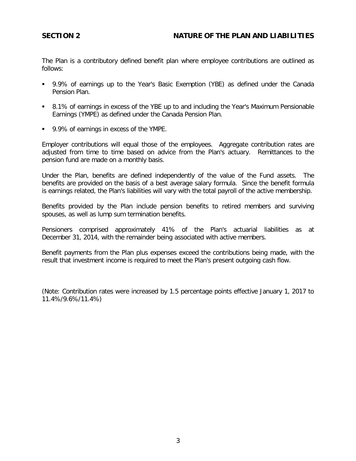<span id="page-4-0"></span>The Plan is a contributory defined benefit plan where employee contributions are outlined as follows:

- 9.9% of earnings up to the Year's Basic Exemption (YBE) as defined under the Canada Pension Plan.
- 8.1% of earnings in excess of the YBE up to and including the Year's Maximum Pensionable Earnings (YMPE) as defined under the Canada Pension Plan.
- 9.9% of earnings in excess of the YMPE.

Employer contributions will equal those of the employees. Aggregate contribution rates are adjusted from time to time based on advice from the Plan's actuary. Remittances to the pension fund are made on a monthly basis.

Under the Plan, benefits are defined independently of the value of the Fund assets. The benefits are provided on the basis of a best average salary formula. Since the benefit formula is earnings related, the Plan's liabilities will vary with the total payroll of the active membership.

Benefits provided by the Plan include pension benefits to retired members and surviving spouses, as well as lump sum termination benefits.

Pensioners comprised approximately 41% of the Plan's actuarial liabilities as at December 31, 2014, with the remainder being associated with active members.

Benefit payments from the Plan plus expenses exceed the contributions being made, with the result that investment income is required to meet the Plan's present outgoing cash flow.

(Note: Contribution rates were increased by 1.5 percentage points effective January 1, 2017 to 11.4%/9.6%/11.4%)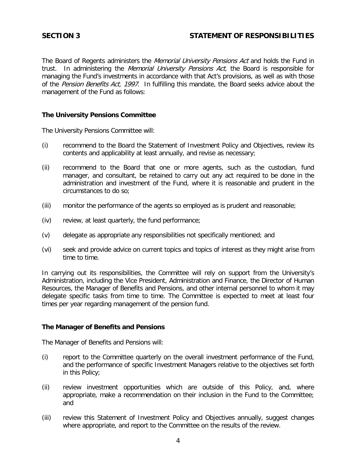# <span id="page-5-0"></span>**SECTION 3 STATEMENT OF RESPONSIBILITIES**

The Board of Regents administers the *Memorial University Pensions Act* and holds the Fund in trust. In administering the *Memorial University Pensions Act*, the Board is responsible for managing the Fund's investments in accordance with that Act's provisions, as well as with those of the Pension Benefits Act, 1997. In fulfilling this mandate, the Board seeks advice about the management of the Fund as follows:

# **The University Pensions Committee**

The University Pensions Committee will:

- (i) recommend to the Board the Statement of Investment Policy and Objectives, review its contents and applicability at least annually, and revise as necessary;
- (ii) recommend to the Board that one or more agents, such as the custodian, fund manager, and consultant, be retained to carry out any act required to be done in the administration and investment of the Fund, where it is reasonable and prudent in the circumstances to do so;
- (iii) monitor the performance of the agents so employed as is prudent and reasonable;
- (iv) review, at least quarterly, the fund performance;
- (v) delegate as appropriate any responsibilities not specifically mentioned; and
- (vi) seek and provide advice on current topics and topics of interest as they might arise from time to time.

In carrying out its responsibilities, the Committee will rely on support from the University's Administration, including the Vice President, Administration and Finance, the Director of Human Resources, the Manager of Benefits and Pensions, and other internal personnel to whom it may delegate specific tasks from time to time. The Committee is expected to meet at least four times per year regarding management of the pension fund.

#### **The Manager of Benefits and Pensions**

The Manager of Benefits and Pensions will:

- (i) report to the Committee quarterly on the overall investment performance of the Fund, and the performance of specific Investment Managers relative to the objectives set forth in this Policy;
- (ii) review investment opportunities which are outside of this Policy, and, where appropriate, make a recommendation on their inclusion in the Fund to the Committee; and
- (iii) review this Statement of Investment Policy and Objectives annually, suggest changes where appropriate, and report to the Committee on the results of the review.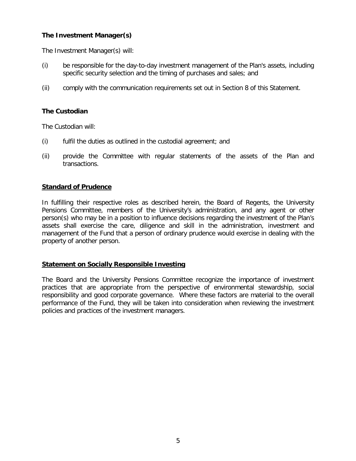# **The Investment Manager(s)**

The Investment Manager(s) will:

- (i) be responsible for the day-to-day investment management of the Plan's assets, including specific security selection and the timing of purchases and sales; and
- (ii) comply with the communication requirements set out in Section 8 of this Statement.

# **The Custodian**

The Custodian will:

- (i) fulfil the duties as outlined in the custodial agreement; and
- (ii) provide the Committee with regular statements of the assets of the Plan and transactions.

#### **Standard of Prudence**

In fulfilling their respective roles as described herein, the Board of Regents, the University Pensions Committee, members of the University's administration, and any agent or other person(s) who may be in a position to influence decisions regarding the investment of the Plan's assets shall exercise the care, diligence and skill in the administration, investment and management of the Fund that a person of ordinary prudence would exercise in dealing with the property of another person.

#### **Statement on Socially Responsible Investing**

The Board and the University Pensions Committee recognize the importance of investment practices that are appropriate from the perspective of environmental stewardship, social responsibility and good corporate governance. Where these factors are material to the overall performance of the Fund, they will be taken into consideration when reviewing the investment policies and practices of the investment managers.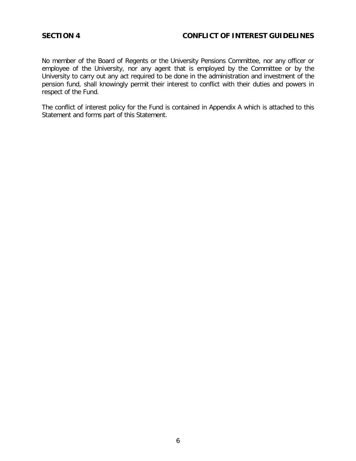# <span id="page-7-0"></span>**SECTION 4 CONFLICT OF INTEREST GUIDELINES**

No member of the Board of Regents or the University Pensions Committee, nor any officer or employee of the University, nor any agent that is employed by the Committee or by the University to carry out any act required to be done in the administration and investment of the pension fund, shall knowingly permit their interest to conflict with their duties and powers in respect of the Fund.

The conflict of interest policy for the Fund is contained in Appendix A which is attached to this Statement and forms part of this Statement.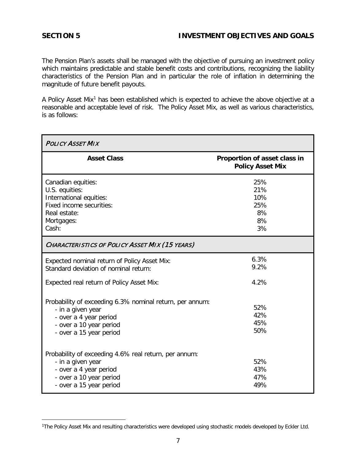# <span id="page-8-0"></span>**SECTION 5 INVESTMENT OBJECTIVES AND GOALS**

The Pension Plan's assets shall be managed with the objective of pursuing an investment policy which maintains predictable and stable benefit costs and contributions, recognizing the liability characteristics of the Pension Plan and in particular the role of inflation in determining the magnitude of future benefit payouts.

A Policy Asset Mix<sup>[1](#page-8-1)</sup> has been established which is expected to achieve the above objective at a reasonable and acceptable level of risk. The Policy Asset Mix, as well as various characteristics, is as follows:

| <b>POLICY ASSET MIX</b>                                                                                                                                       |                                                         |  |  |  |  |  |
|---------------------------------------------------------------------------------------------------------------------------------------------------------------|---------------------------------------------------------|--|--|--|--|--|
| <b>Asset Class</b>                                                                                                                                            | Proportion of asset class in<br><b>Policy Asset Mix</b> |  |  |  |  |  |
| Canadian equities:<br>U.S. equities:<br>International equities:<br>Fixed income securities:<br>Real estate:<br>Mortgages:<br>Cash:                            | 25%<br>21%<br>10%<br>25%<br>8%<br>8%<br>3%              |  |  |  |  |  |
| <b>CHARACTERISTICS OF POLICY ASSET MIX (15 YEARS)</b>                                                                                                         |                                                         |  |  |  |  |  |
| Expected nominal return of Policy Asset Mix:<br>Standard deviation of nominal return:                                                                         | 6.3%<br>9.2%                                            |  |  |  |  |  |
| Expected real return of Policy Asset Mix:                                                                                                                     | 4.2%                                                    |  |  |  |  |  |
| Probability of exceeding 6.3% nominal return, per annum:<br>- in a given year<br>- over a 4 year period<br>- over a 10 year period<br>- over a 15 year period | 52%<br>42%<br>45%<br>50%                                |  |  |  |  |  |
| Probability of exceeding 4.6% real return, per annum:<br>- in a given year<br>- over a 4 year period<br>- over a 10 year period<br>- over a 15 year period    | 52%<br>43%<br>47%<br>49%                                |  |  |  |  |  |

<span id="page-8-1"></span>Ĩ. 1The Policy Asset Mix and resulting characteristics were developed using stochastic models developed by Eckler Ltd.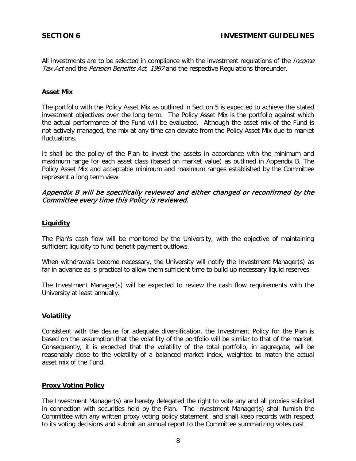<span id="page-9-0"></span>All investments are to be selected in compliance with the investment regulations of the *Income* Tax Act and the Pension Benefits Act, 1997 and the respective Regulations thereunder.

### **Asset Mix**

The portfolio with the Policy Asset Mix as outlined in Section 5 is expected to achieve the stated investment objectives over the long term. The Policy Asset Mix is the portfolio against which the actual performance of the Fund will be evaluated. Although the asset mix of the Fund is not actively managed, the mix at any time can deviate from the Policy Asset Mix due to market fluctuations.

It shall be the policy of the Plan to invest the assets in accordance with the minimum and maximum range for each asset class (based on market value) as outlined in Appendix B. The Policy Asset Mix and acceptable minimum and maximum ranges established by the Committee represent a long term view.

# Appendix B will be specifically reviewed and either changed or reconfirmed by the Committee every time this Policy is reviewed.

#### **Liquidity**

The Plan's cash flow will be monitored by the University, with the objective of maintaining sufficient liquidity to fund benefit payment outflows.

When withdrawals become necessary, the University will notify the Investment Manager(s) as far in advance as is practical to allow them sufficient time to build up necessary liquid reserves.

The Investment Manager(s) will be expected to review the cash flow requirements with the University at least annually.

#### **Volatility**

Consistent with the desire for adequate diversification, the Investment Policy for the Plan is based on the assumption that the volatility of the portfolio will be similar to that of the market. Consequently, it is expected that the volatility of the total portfolio, in aggregate, will be reasonably close to the volatility of a balanced market index, weighted to match the actual asset mix of the Fund.

#### **Proxy Voting Policy**

The Investment Manager(s) are hereby delegated the right to vote any and all proxies solicited in connection with securities held by the Plan. The Investment Manager(s) shall furnish the Committee with any written proxy voting policy statement, and shall keep records with respect to its voting decisions and submit an annual report to the Committee summarizing votes cast.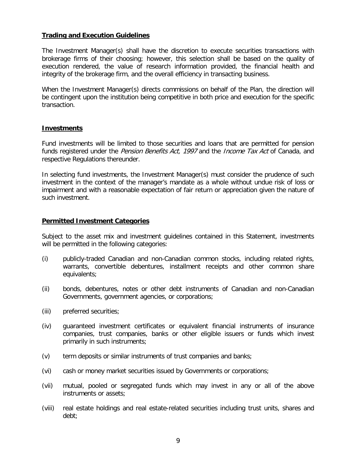### **Trading and Execution Guidelines**

The Investment Manager(s) shall have the discretion to execute securities transactions with brokerage firms of their choosing; however, this selection shall be based on the quality of execution rendered, the value of research information provided, the financial health and integrity of the brokerage firm, and the overall efficiency in transacting business.

When the Investment Manager(s) directs commissions on behalf of the Plan, the direction will be contingent upon the institution being competitive in both price and execution for the specific transaction.

#### **Investments**

Fund investments will be limited to those securities and loans that are permitted for pension funds registered under the *Pension Benefits Act, 1997* and the *Income Tax Act* of Canada, and respective Regulations thereunder.

In selecting fund investments, the Investment Manager(s) must consider the prudence of such investment in the context of the manager's mandate as a whole without undue risk of loss or impairment and with a reasonable expectation of fair return or appreciation given the nature of such investment.

#### **Permitted Investment Categories**

Subject to the asset mix and investment guidelines contained in this Statement, investments will be permitted in the following categories:

- (i) publicly-traded Canadian and non-Canadian common stocks, including related rights, warrants, convertible debentures, installment receipts and other common share equivalents;
- (ii) bonds, debentures, notes or other debt instruments of Canadian and non-Canadian Governments, government agencies, or corporations;
- (iii) preferred securities;
- (iv) guaranteed investment certificates or equivalent financial instruments of insurance companies, trust companies, banks or other eligible issuers or funds which invest primarily in such instruments;
- (v) term deposits or similar instruments of trust companies and banks;
- (vi) cash or money market securities issued by Governments or corporations;
- (vii) mutual, pooled or segregated funds which may invest in any or all of the above instruments or assets;
- (viii) real estate holdings and real estate-related securities including trust units, shares and debt;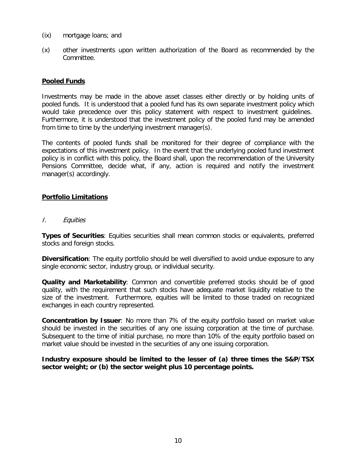- (ix) mortgage loans; and
- (x) other investments upon written authorization of the Board as recommended by the Committee.

### **Pooled Funds**

Investments may be made in the above asset classes either directly or by holding units of pooled funds. It is understood that a pooled fund has its own separate investment policy which would take precedence over this policy statement with respect to investment guidelines. Furthermore, it is understood that the investment policy of the pooled fund may be amended from time to time by the underlying investment manager(s).

The contents of pooled funds shall be monitored for their degree of compliance with the expectations of this investment policy. In the event that the underlying pooled fund investment policy is in conflict with this policy, the Board shall, upon the recommendation of the University Pensions Committee, decide what, if any, action is required and notify the investment manager(s) accordingly.

#### **Portfolio Limitations**

I. Equities

**Types of Securities**: Equities securities shall mean common stocks or equivalents, preferred stocks and foreign stocks.

**Diversification**: The equity portfolio should be well diversified to avoid undue exposure to any single economic sector, industry group, or individual security.

**Quality and Marketability**: Common and convertible preferred stocks should be of good quality, with the requirement that such stocks have adequate market liquidity relative to the size of the investment. Furthermore, equities will be limited to those traded on recognized exchanges in each country represented.

**Concentration by Issuer**: No more than 7% of the equity portfolio based on market value should be invested in the securities of any one issuing corporation at the time of purchase. Subsequent to the time of initial purchase, no more than 10% of the equity portfolio based on market value should be invested in the securities of any one issuing corporation.

**Industry exposure should be limited to the lesser of (a) three times the S&P/TSX sector weight; or (b) the sector weight plus 10 percentage points.**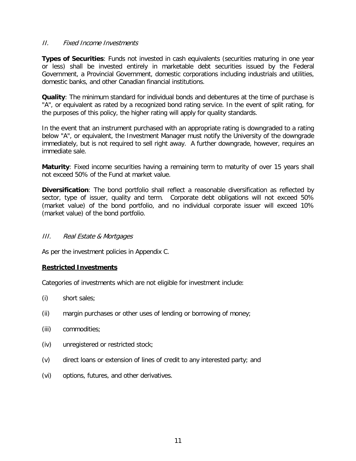#### II. Fixed Income Investments

**Types of Securities**: Funds not invested in cash equivalents (securities maturing in one year or less) shall be invested entirely in marketable debt securities issued by the Federal Government, a Provincial Government, domestic corporations including industrials and utilities, domestic banks, and other Canadian financial institutions.

**Quality**: The minimum standard for individual bonds and debentures at the time of purchase is "A", or equivalent as rated by a recognized bond rating service. In the event of split rating, for the purposes of this policy, the higher rating will apply for quality standards.

In the event that an instrument purchased with an appropriate rating is downgraded to a rating below "A", or equivalent, the Investment Manager must notify the University of the downgrade immediately, but is not required to sell right away. A further downgrade, however, requires an immediate sale.

**Maturity**: Fixed income securities having a remaining term to maturity of over 15 years shall not exceed 50% of the Fund at market value.

**Diversification**: The bond portfolio shall reflect a reasonable diversification as reflected by sector, type of issuer, quality and term. Corporate debt obligations will not exceed 50% (market value) of the bond portfolio, and no individual corporate issuer will exceed 10% (market value) of the bond portfolio.

#### III. Real Estate & Mortgages

As per the investment policies in Appendix C.

#### **Restricted Investments**

Categories of investments which are not eligible for investment include:

- (i) short sales;
- (ii) margin purchases or other uses of lending or borrowing of money;
- (iii) commodities;
- (iv) unregistered or restricted stock;
- (v) direct loans or extension of lines of credit to any interested party; and
- (vi) options, futures, and other derivatives.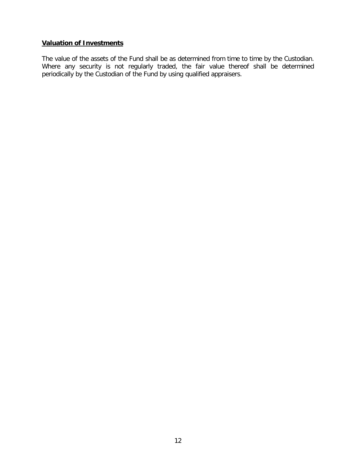# **Valuation of Investments**

The value of the assets of the Fund shall be as determined from time to time by the Custodian. Where any security is not regularly traded, the fair value thereof shall be determined periodically by the Custodian of the Fund by using qualified appraisers.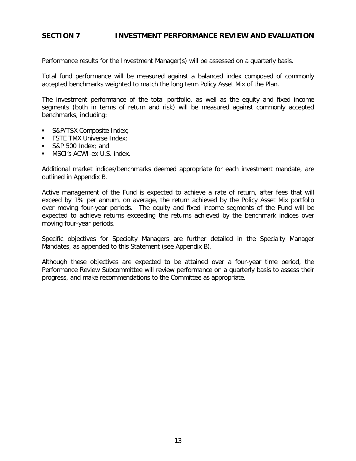# <span id="page-14-0"></span>**SECTION 7 INVESTMENT PERFORMANCE REVIEW AND EVALUATION**

Performance results for the Investment Manager(s) will be assessed on a quarterly basis.

Total fund performance will be measured against a balanced index composed of commonly accepted benchmarks weighted to match the long term Policy Asset Mix of the Plan.

The investment performance of the total portfolio, as well as the equity and fixed income segments (both in terms of return and risk) will be measured against commonly accepted benchmarks, including:

- S&P/TSX Composite Index;
- **FSTE TMX Universe Index:**
- S&P 500 Index; and
- **MSCI's ACWI-ex U.S. index.**

Additional market indices/benchmarks deemed appropriate for each investment mandate, are outlined in Appendix B.

Active management of the Fund is expected to achieve a rate of return, after fees that will exceed by 1% per annum, on average, the return achieved by the Policy Asset Mix portfolio over moving four-year periods. The equity and fixed income segments of the Fund will be expected to achieve returns exceeding the returns achieved by the benchmark indices over moving four-year periods.

Specific objectives for Specialty Managers are further detailed in the Specialty Manager Mandates, as appended to this Statement (see Appendix B).

Although these objectives are expected to be attained over a four-year time period, the Performance Review Subcommittee will review performance on a quarterly basis to assess their progress, and make recommendations to the Committee as appropriate.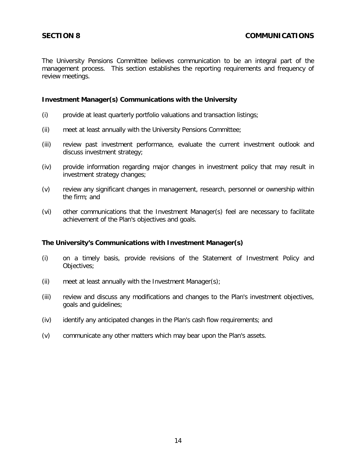<span id="page-15-0"></span>The University Pensions Committee believes communication to be an integral part of the management process. This section establishes the reporting requirements and frequency of review meetings.

#### **Investment Manager(s) Communications with the University**

- (i) provide at least quarterly portfolio valuations and transaction listings;
- (ii) meet at least annually with the University Pensions Committee;
- (iii) review past investment performance, evaluate the current investment outlook and discuss investment strategy;
- (iv) provide information regarding major changes in investment policy that may result in investment strategy changes;
- (v) review any significant changes in management, research, personnel or ownership within the firm; and
- (vi) other communications that the Investment Manager(s) feel are necessary to facilitate achievement of the Plan's objectives and goals.

#### **The University's Communications with Investment Manager(s)**

- (i) on a timely basis, provide revisions of the Statement of Investment Policy and Objectives;
- (ii) meet at least annually with the Investment Manager(s);
- (iii) review and discuss any modifications and changes to the Plan's investment objectives, goals and guidelines;
- (iv) identify any anticipated changes in the Plan's cash flow requirements; and
- (v) communicate any other matters which may bear upon the Plan's assets.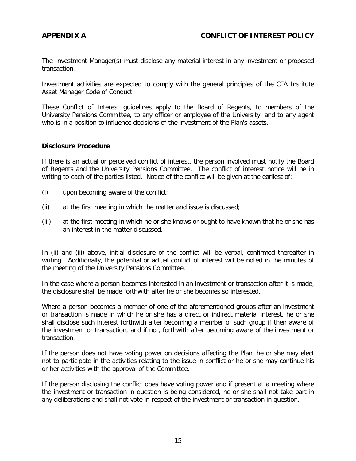<span id="page-16-0"></span>The Investment Manager(s) must disclose any material interest in any investment or proposed transaction.

Investment activities are expected to comply with the general principles of the CFA Institute Asset Manager Code of Conduct.

These Conflict of Interest guidelines apply to the Board of Regents, to members of the University Pensions Committee, to any officer or employee of the University, and to any agent who is in a position to influence decisions of the investment of the Plan's assets.

#### **Disclosure Procedure**

If there is an actual or perceived conflict of interest, the person involved must notify the Board of Regents and the University Pensions Committee. The conflict of interest notice will be in writing to each of the parties listed. Notice of the conflict will be given at the earliest of:

- (i) upon becoming aware of the conflict;
- (ii) at the first meeting in which the matter and issue is discussed;
- (iii) at the first meeting in which he or she knows or ought to have known that he or she has an interest in the matter discussed.

In (ii) and (iii) above, initial disclosure of the conflict will be verbal, confirmed thereafter in writing. Additionally, the potential or actual conflict of interest will be noted in the minutes of the meeting of the University Pensions Committee.

In the case where a person becomes interested in an investment or transaction after it is made, the disclosure shall be made forthwith after he or she becomes so interested.

Where a person becomes a member of one of the aforementioned groups after an investment or transaction is made in which he or she has a direct or indirect material interest, he or she shall disclose such interest forthwith after becoming a member of such group if then aware of the investment or transaction, and if not, forthwith after becoming aware of the investment or transaction.

If the person does not have voting power on decisions affecting the Plan, he or she may elect not to participate in the activities relating to the issue in conflict or he or she may continue his or her activities with the approval of the Committee.

If the person disclosing the conflict does have voting power and if present at a meeting where the investment or transaction in question is being considered, he or she shall not take part in any deliberations and shall not vote in respect of the investment or transaction in question.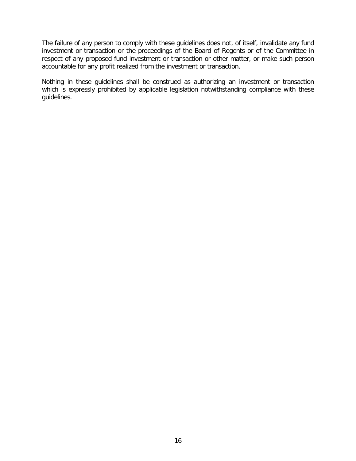The failure of any person to comply with these guidelines does not, of itself, invalidate any fund investment or transaction or the proceedings of the Board of Regents or of the Committee in respect of any proposed fund investment or transaction or other matter, or make such person accountable for any profit realized from the investment or transaction.

Nothing in these guidelines shall be construed as authorizing an investment or transaction which is expressly prohibited by applicable legislation notwithstanding compliance with these guidelines.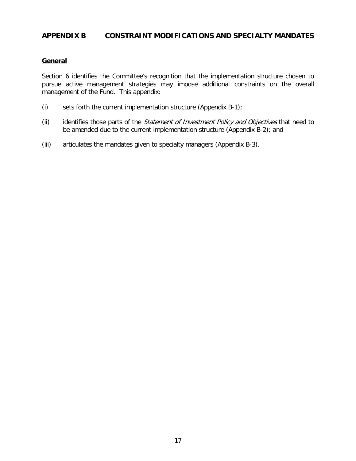# <span id="page-18-0"></span>**APPENDIX B CONSTRAINT MODIFICATIONS AND SPECIALTY MANDATES**

#### **General**

Section 6 identifies the Committee's recognition that the implementation structure chosen to pursue active management strategies may impose additional constraints on the overall management of the Fund. This appendix:

- (i) sets forth the current implementation structure (Appendix B-1);
- (ii) identifies those parts of the *Statement of Investment Policy and Objectives* that need to be amended due to the current implementation structure (Appendix B-2); and
- (iii) articulates the mandates given to specialty managers (Appendix B-3).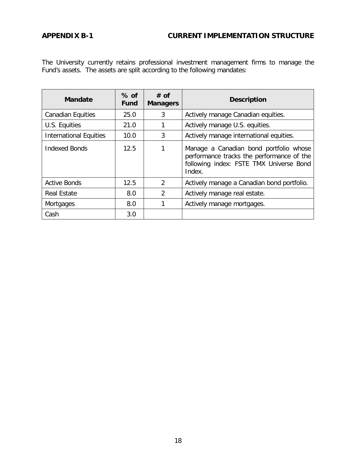# <span id="page-19-0"></span>**APPENDIX B-1 CURRENT IMPLEMENTATION STRUCTURE**

The University currently retains professional investment management firms to manage the Fund's assets. The assets are split according to the following mandates:

| <b>Mandate</b>                | $%$ of<br><b>Fund</b> | $#$ of<br><b>Managers</b>  | <b>Description</b>                                                                                                                       |  |
|-------------------------------|-----------------------|----------------------------|------------------------------------------------------------------------------------------------------------------------------------------|--|
| <b>Canadian Equities</b>      | 25.0                  | 3                          | Actively manage Canadian equities.                                                                                                       |  |
| U.S. Equities                 | 21.0                  |                            | Actively manage U.S. equities.                                                                                                           |  |
| <b>International Equities</b> | 10.0                  | 3                          | Actively manage international equities.                                                                                                  |  |
| Indexed Bonds                 | 12.5                  |                            | Manage a Canadian bond portfolio whose<br>performance tracks the performance of the<br>following index: FSTE TMX Universe Bond<br>Index. |  |
| <b>Active Bonds</b>           | 12.5                  | 2                          | Actively manage a Canadian bond portfolio.                                                                                               |  |
| <b>Real Estate</b>            | 8.0                   | 2                          | Actively manage real estate.                                                                                                             |  |
| <b>Mortgages</b>              | 8.0                   | Actively manage mortgages. |                                                                                                                                          |  |
| Cash                          | 3.0                   |                            |                                                                                                                                          |  |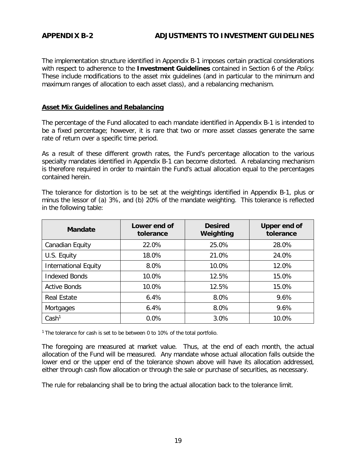# <span id="page-20-0"></span>**APPENDIX B-2 ADJUSTMENTS TO INVESTMENT GUIDELINES**

The implementation structure identified in Appendix B-1 imposes certain practical considerations with respect to adherence to the **Investment Guidelines** contained in Section 6 of the Policy. These include modifications to the asset mix guidelines (and in particular to the minimum and maximum ranges of allocation to each asset class), and a rebalancing mechanism.

### **Asset Mix Guidelines and Rebalancing**

The percentage of the Fund allocated to each mandate identified in Appendix B-1 is intended to be a fixed percentage; however, it is rare that two or more asset classes generate the same rate of return over a specific time period.

As a result of these different growth rates, the Fund's percentage allocation to the various specialty mandates identified in Appendix B-1 can become distorted. A rebalancing mechanism is therefore required in order to maintain the Fund's actual allocation equal to the percentages contained herein.

The tolerance for distortion is to be set at the weightings identified in Appendix B-1, plus or minus the lessor of (a) 3%, and (b) 20% of the mandate weighting. This tolerance is reflected in the following table:

| <b>Mandate</b>              | Lower end of<br>tolerance | <b>Desired</b><br>Weighting | <b>Upper end of</b><br>tolerance |
|-----------------------------|---------------------------|-----------------------------|----------------------------------|
| Canadian Equity             | 22.0%                     | 25.0%                       | 28.0%                            |
| U.S. Equity                 | 18.0%                     | 21.0%                       | 24.0%                            |
| <b>International Equity</b> | 8.0%                      | 10.0%                       | 12.0%                            |
| <b>Indexed Bonds</b>        | 10.0%                     | 12.5%                       | 15.0%                            |
| <b>Active Bonds</b>         | 10.0%                     | 12.5%                       | 15.0%                            |
| <b>Real Estate</b>          | 6.4%                      | 8.0%                        | 9.6%                             |
| Mortgages                   | 6.4%                      | 8.0%                        | 9.6%                             |
| Cash <sup>1</sup>           | 0.0%                      | 3.0%                        | 10.0%                            |

<sup>1</sup> The tolerance for cash is set to be between 0 to 10% of the total portfolio.

The foregoing are measured at market value. Thus, at the end of each month, the actual allocation of the Fund will be measured. Any mandate whose actual allocation falls outside the lower end or the upper end of the tolerance shown above will have its allocation addressed, either through cash flow allocation or through the sale or purchase of securities, as necessary.

The rule for rebalancing shall be to bring the actual allocation back to the tolerance limit.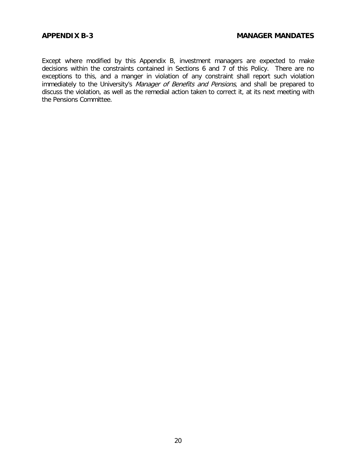<span id="page-21-0"></span>Except where modified by this Appendix B, investment managers are expected to make decisions within the constraints contained in Sections 6 and 7 of this Policy. There are no exceptions to this, and a manger in violation of any constraint shall report such violation immediately to the University's Manager of Benefits and Pensions, and shall be prepared to discuss the violation, as well as the remedial action taken to correct it, at its next meeting with the Pensions Committee.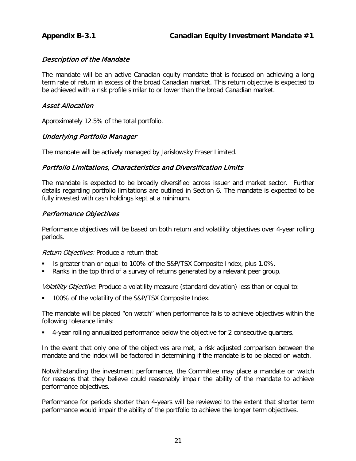<span id="page-22-0"></span>The mandate will be an active Canadian equity mandate that is focused on achieving a long term rate of return in excess of the broad Canadian market. This return objective is expected to be achieved with a risk profile similar to or lower than the broad Canadian market.

# Asset Allocation

Approximately 12.5% of the total portfolio.

# Underlying Portfolio Manager

The mandate will be actively managed by Jarislowsky Fraser Limited.

# Portfolio Limitations, Characteristics and Diversification Limits

The mandate is expected to be broadly diversified across issuer and market sector. Further details regarding portfolio limitations are outlined in Section 6. The mandate is expected to be fully invested with cash holdings kept at a minimum.

# Performance Objectives

Performance objectives will be based on both return and volatility objectives over 4-year rolling periods.

Return Objectives: Produce a return that:

- Is greater than or equal to 100% of the S&P/TSX Composite Index, plus 1.0%.
- Ranks in the top third of a survey of returns generated by a relevant peer group.

Volatility Objective: Produce a volatility measure (standard deviation) less than or equal to:

100% of the volatility of the S&P/TSX Composite Index.

The mandate will be placed "on watch" when performance fails to achieve objectives within the following tolerance limits:

4-year rolling annualized performance below the objective for 2 consecutive quarters.

In the event that only one of the objectives are met, a risk adjusted comparison between the mandate and the index will be factored in determining if the mandate is to be placed on watch.

Notwithstanding the investment performance, the Committee may place a mandate on watch for reasons that they believe could reasonably impair the ability of the mandate to achieve performance objectives.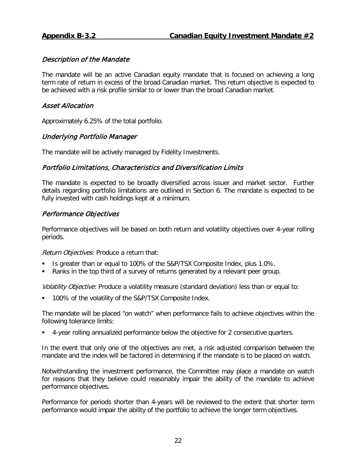<span id="page-23-0"></span>The mandate will be an active Canadian equity mandate that is focused on achieving a long term rate of return in excess of the broad Canadian market. This return objective is expected to be achieved with a risk profile similar to or lower than the broad Canadian market.

# Asset Allocation

Approximately 6.25% of the total portfolio.

# Underlying Portfolio Manager

The mandate will be actively managed by Fidelity Investments.

# Portfolio Limitations, Characteristics and Diversification Limits

The mandate is expected to be broadly diversified across issuer and market sector. Further details regarding portfolio limitations are outlined in Section 6. The mandate is expected to be fully invested with cash holdings kept at a minimum.

# Performance Objectives

Performance objectives will be based on both return and volatility objectives over 4-year rolling periods.

Return Objectives: Produce a return that:

- Is greater than or equal to 100% of the S&P/TSX Composite Index, plus 1.0%.
- Ranks in the top third of a survey of returns generated by a relevant peer group.

Volatility Objective: Produce a volatility measure (standard deviation) less than or equal to:

100% of the volatility of the S&P/TSX Composite Index.

The mandate will be placed "on watch" when performance fails to achieve objectives within the following tolerance limits:

4-year rolling annualized performance below the objective for 2 consecutive quarters.

In the event that only one of the objectives are met, a risk adjusted comparison between the mandate and the index will be factored in determining if the mandate is to be placed on watch.

Notwithstanding the investment performance, the Committee may place a mandate on watch for reasons that they believe could reasonably impair the ability of the mandate to achieve performance objectives.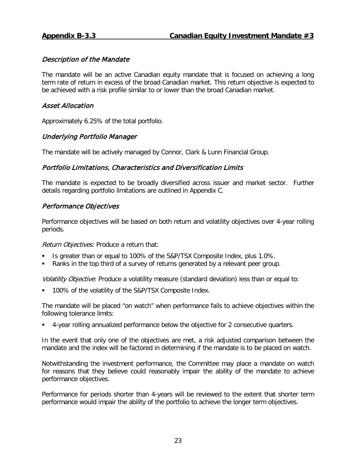<span id="page-24-0"></span>The mandate will be an active Canadian equity mandate that is focused on achieving a long term rate of return in excess of the broad Canadian market. This return objective is expected to be achieved with a risk profile similar to or lower than the broad Canadian market.

# Asset Allocation

Approximately 6.25% of the total portfolio.

# Underlying Portfolio Manager

The mandate will be actively managed by Connor, Clark & Lunn Financial Group.

# Portfolio Limitations, Characteristics and Diversification Limits

The mandate is expected to be broadly diversified across issuer and market sector. Further details regarding portfolio limitations are outlined in Appendix C.

# Performance Objectives

Performance objectives will be based on both return and volatility objectives over 4-year rolling periods.

Return Objectives: Produce a return that:

- Is greater than or equal to 100% of the S&P/TSX Composite Index, plus 1.0%.
- Ranks in the top third of a survey of returns generated by a relevant peer group.

Volatility Objective: Produce a volatility measure (standard deviation) less than or equal to:

**100% of the volatility of the S&P/TSX Composite Index.** 

The mandate will be placed "on watch" when performance fails to achieve objectives within the following tolerance limits:

4-year rolling annualized performance below the objective for 2 consecutive quarters.

In the event that only one of the objectives are met, a risk adjusted comparison between the mandate and the index will be factored in determining if the mandate is to be placed on watch.

Notwithstanding the investment performance, the Committee may place a mandate on watch for reasons that they believe could reasonably impair the ability of the mandate to achieve performance objectives.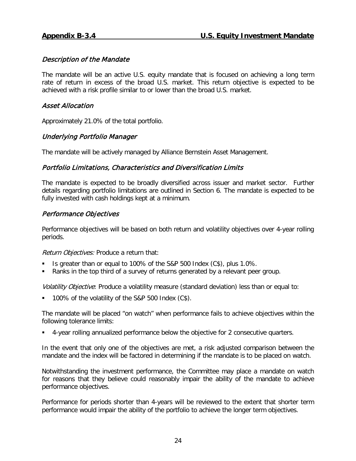<span id="page-25-0"></span>The mandate will be an active U.S. equity mandate that is focused on achieving a long term rate of return in excess of the broad U.S. market. This return objective is expected to be achieved with a risk profile similar to or lower than the broad U.S. market.

# Asset Allocation

Approximately 21.0% of the total portfolio.

# Underlying Portfolio Manager

The mandate will be actively managed by Alliance Bernstein Asset Management.

# Portfolio Limitations, Characteristics and Diversification Limits

The mandate is expected to be broadly diversified across issuer and market sector. Further details regarding portfolio limitations are outlined in Section 6. The mandate is expected to be fully invested with cash holdings kept at a minimum.

# Performance Objectives

Performance objectives will be based on both return and volatility objectives over 4-year rolling periods.

Return Objectives: Produce a return that:

- Is greater than or equal to 100% of the S&P 500 Index (C\$), plus 1.0%.
- Ranks in the top third of a survey of returns generated by a relevant peer group.

Volatility Objective: Produce a volatility measure (standard deviation) less than or equal to:

100% of the volatility of the S&P 500 Index (C\$).

The mandate will be placed "on watch" when performance fails to achieve objectives within the following tolerance limits:

4-year rolling annualized performance below the objective for 2 consecutive quarters.

In the event that only one of the objectives are met, a risk adjusted comparison between the mandate and the index will be factored in determining if the mandate is to be placed on watch.

Notwithstanding the investment performance, the Committee may place a mandate on watch for reasons that they believe could reasonably impair the ability of the mandate to achieve performance objectives.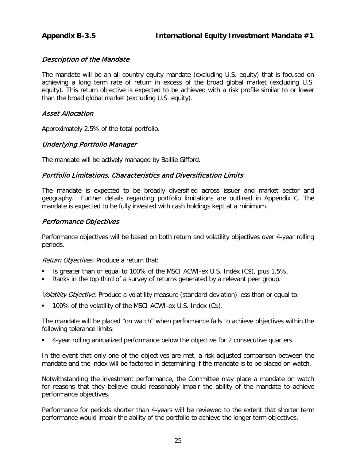<span id="page-26-0"></span>The mandate will be an all country equity mandate (excluding U.S. equity) that is focused on achieving a long term rate of return in excess of the broad global market (excluding U.S. equity). This return objective is expected to be achieved with a risk profile similar to or lower than the broad global market (excluding U.S. equity).

# Asset Allocation

Approximately 2.5% of the total portfolio.

# Underlying Portfolio Manager

The mandate will be actively managed by Baillie Gifford.

# Portfolio Limitations, Characteristics and Diversification Limits

The mandate is expected to be broadly diversified across issuer and market sector and geography. Further details regarding portfolio limitations are outlined in Appendix C. The mandate is expected to be fully invested with cash holdings kept at a minimum.

# Performance Objectives

Performance objectives will be based on both return and volatility objectives over 4-year rolling periods.

Return Objectives: Produce a return that:

- Is greater than or equal to 100% of the MSCI ACWI-ex U.S. Index (C\$), plus 1.5%.
- Ranks in the top third of a survey of returns generated by a relevant peer group.

Volatility Objective: Produce a volatility measure (standard deviation) less than or equal to:

100% of the volatility of the MSCI ACWI-ex U.S. Index (C\$).

The mandate will be placed "on watch" when performance fails to achieve objectives within the following tolerance limits:

4-year rolling annualized performance below the objective for 2 consecutive quarters.

In the event that only one of the objectives are met, a risk adjusted comparison between the mandate and the index will be factored in determining if the mandate is to be placed on watch.

Notwithstanding the investment performance, the Committee may place a mandate on watch for reasons that they believe could reasonably impair the ability of the mandate to achieve performance objectives.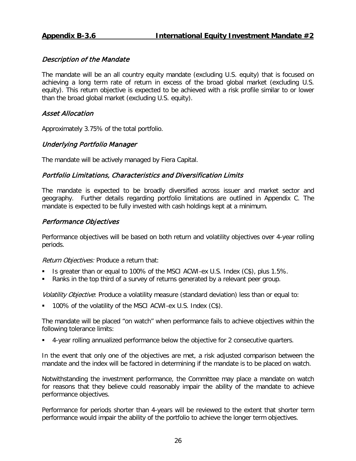<span id="page-27-0"></span>The mandate will be an all country equity mandate (excluding U.S. equity) that is focused on achieving a long term rate of return in excess of the broad global market (excluding U.S. equity). This return objective is expected to be achieved with a risk profile similar to or lower than the broad global market (excluding U.S. equity).

# Asset Allocation

Approximately 3.75% of the total portfolio.

# Underlying Portfolio Manager

The mandate will be actively managed by Fiera Capital.

# Portfolio Limitations, Characteristics and Diversification Limits

The mandate is expected to be broadly diversified across issuer and market sector and geography. Further details regarding portfolio limitations are outlined in Appendix C. The mandate is expected to be fully invested with cash holdings kept at a minimum.

# Performance Objectives

Performance objectives will be based on both return and volatility objectives over 4-year rolling periods.

Return Objectives: Produce a return that:

- Is greater than or equal to 100% of the MSCI ACWI-ex U.S. Index (C\$), plus 1.5%.
- Ranks in the top third of a survey of returns generated by a relevant peer group.

Volatility Objective: Produce a volatility measure (standard deviation) less than or equal to:

100% of the volatility of the MSCI ACWI-ex U.S. Index (C\$).

The mandate will be placed "on watch" when performance fails to achieve objectives within the following tolerance limits:

4-year rolling annualized performance below the objective for 2 consecutive quarters.

In the event that only one of the objectives are met, a risk adjusted comparison between the mandate and the index will be factored in determining if the mandate is to be placed on watch.

Notwithstanding the investment performance, the Committee may place a mandate on watch for reasons that they believe could reasonably impair the ability of the mandate to achieve performance objectives.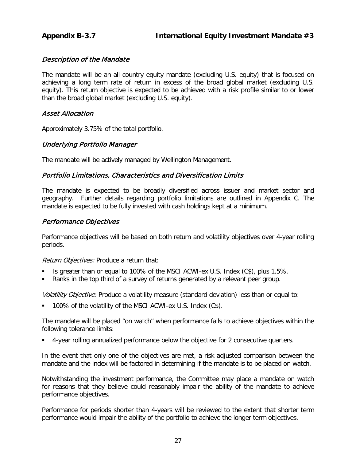<span id="page-28-0"></span>The mandate will be an all country equity mandate (excluding U.S. equity) that is focused on achieving a long term rate of return in excess of the broad global market (excluding U.S. equity). This return objective is expected to be achieved with a risk profile similar to or lower than the broad global market (excluding U.S. equity).

# Asset Allocation

Approximately 3.75% of the total portfolio.

# Underlying Portfolio Manager

The mandate will be actively managed by Wellington Management.

# Portfolio Limitations, Characteristics and Diversification Limits

The mandate is expected to be broadly diversified across issuer and market sector and geography. Further details regarding portfolio limitations are outlined in Appendix C. The mandate is expected to be fully invested with cash holdings kept at a minimum.

# Performance Objectives

Performance objectives will be based on both return and volatility objectives over 4-year rolling periods.

Return Objectives: Produce a return that:

- Is greater than or equal to 100% of the MSCI ACWI-ex U.S. Index (C\$), plus 1.5%.
- Ranks in the top third of a survey of returns generated by a relevant peer group.

Volatility Objective: Produce a volatility measure (standard deviation) less than or equal to:

100% of the volatility of the MSCI ACWI-ex U.S. Index (C\$).

The mandate will be placed "on watch" when performance fails to achieve objectives within the following tolerance limits:

4-year rolling annualized performance below the objective for 2 consecutive quarters.

In the event that only one of the objectives are met, a risk adjusted comparison between the mandate and the index will be factored in determining if the mandate is to be placed on watch.

Notwithstanding the investment performance, the Committee may place a mandate on watch for reasons that they believe could reasonably impair the ability of the mandate to achieve performance objectives.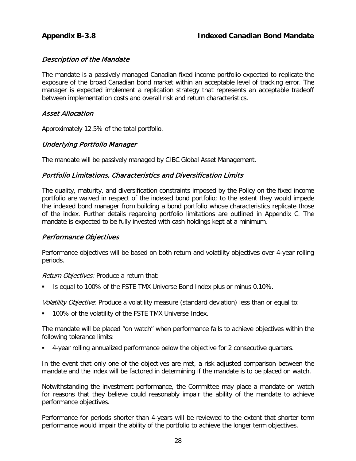<span id="page-29-0"></span>The mandate is a passively managed Canadian fixed income portfolio expected to replicate the exposure of the broad Canadian bond market within an acceptable level of tracking error. The manager is expected implement a replication strategy that represents an acceptable tradeoff between implementation costs and overall risk and return characteristics.

# Asset Allocation

Approximately 12.5% of the total portfolio.

# Underlying Portfolio Manager

The mandate will be passively managed by CIBC Global Asset Management.

# Portfolio Limitations, Characteristics and Diversification Limits

The quality, maturity, and diversification constraints imposed by the Policy on the fixed income portfolio are waived in respect of the indexed bond portfolio; to the extent they would impede the indexed bond manager from building a bond portfolio whose characteristics replicate those of the index. Further details regarding portfolio limitations are outlined in Appendix C. The mandate is expected to be fully invested with cash holdings kept at a minimum.

# Performance Objectives

Performance objectives will be based on both return and volatility objectives over 4-year rolling periods.

Return Objectives: Produce a return that:

Is equal to 100% of the FSTE TMX Universe Bond Index plus or minus 0.10%.

Volatility Objective: Produce a volatility measure (standard deviation) less than or equal to:

**100% of the volatility of the FSTE TMX Universe Index.** 

The mandate will be placed "on watch" when performance fails to achieve objectives within the following tolerance limits:

4-year rolling annualized performance below the objective for 2 consecutive quarters.

In the event that only one of the objectives are met, a risk adjusted comparison between the mandate and the index will be factored in determining if the mandate is to be placed on watch.

Notwithstanding the investment performance, the Committee may place a mandate on watch for reasons that they believe could reasonably impair the ability of the mandate to achieve performance objectives.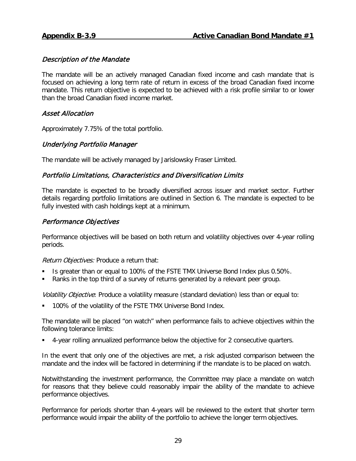<span id="page-30-0"></span>The mandate will be an actively managed Canadian fixed income and cash mandate that is focused on achieving a long term rate of return in excess of the broad Canadian fixed income mandate. This return objective is expected to be achieved with a risk profile similar to or lower than the broad Canadian fixed income market.

# Asset Allocation

Approximately 7.75% of the total portfolio.

# Underlying Portfolio Manager

The mandate will be actively managed by Jarislowsky Fraser Limited.

# Portfolio Limitations, Characteristics and Diversification Limits

The mandate is expected to be broadly diversified across issuer and market sector. Further details regarding portfolio limitations are outlined in Section 6. The mandate is expected to be fully invested with cash holdings kept at a minimum.

# Performance Objectives

Performance objectives will be based on both return and volatility objectives over 4-year rolling periods.

Return Objectives: Produce a return that:

- Is greater than or equal to 100% of the FSTE TMX Universe Bond Index plus 0.50%.
- Ranks in the top third of a survey of returns generated by a relevant peer group.

Volatility Objective: Produce a volatility measure (standard deviation) less than or equal to:

100% of the volatility of the FSTE TMX Universe Bond Index.

The mandate will be placed "on watch" when performance fails to achieve objectives within the following tolerance limits:

4-year rolling annualized performance below the objective for 2 consecutive quarters.

In the event that only one of the objectives are met, a risk adjusted comparison between the mandate and the index will be factored in determining if the mandate is to be placed on watch.

Notwithstanding the investment performance, the Committee may place a mandate on watch for reasons that they believe could reasonably impair the ability of the mandate to achieve performance objectives.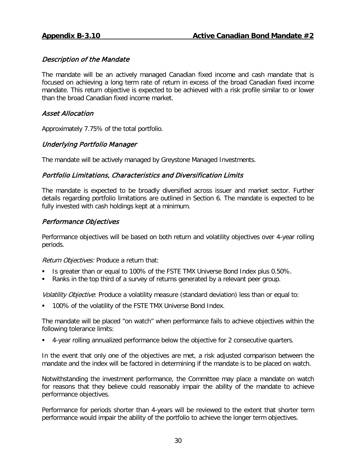<span id="page-31-0"></span>The mandate will be an actively managed Canadian fixed income and cash mandate that is focused on achieving a long term rate of return in excess of the broad Canadian fixed income mandate. This return objective is expected to be achieved with a risk profile similar to or lower than the broad Canadian fixed income market.

# Asset Allocation

Approximately 7.75% of the total portfolio.

# Underlying Portfolio Manager

The mandate will be actively managed by Greystone Managed Investments.

# Portfolio Limitations, Characteristics and Diversification Limits

The mandate is expected to be broadly diversified across issuer and market sector. Further details regarding portfolio limitations are outlined in Section 6. The mandate is expected to be fully invested with cash holdings kept at a minimum.

# Performance Objectives

Performance objectives will be based on both return and volatility objectives over 4-year rolling periods.

Return Objectives: Produce a return that:

- Is greater than or equal to 100% of the FSTE TMX Universe Bond Index plus 0.50%.
- Ranks in the top third of a survey of returns generated by a relevant peer group.

Volatility Objective: Produce a volatility measure (standard deviation) less than or equal to:

100% of the volatility of the FSTE TMX Universe Bond Index.

The mandate will be placed "on watch" when performance fails to achieve objectives within the following tolerance limits:

4-year rolling annualized performance below the objective for 2 consecutive quarters.

In the event that only one of the objectives are met, a risk adjusted comparison between the mandate and the index will be factored in determining if the mandate is to be placed on watch.

Notwithstanding the investment performance, the Committee may place a mandate on watch for reasons that they believe could reasonably impair the ability of the mandate to achieve performance objectives.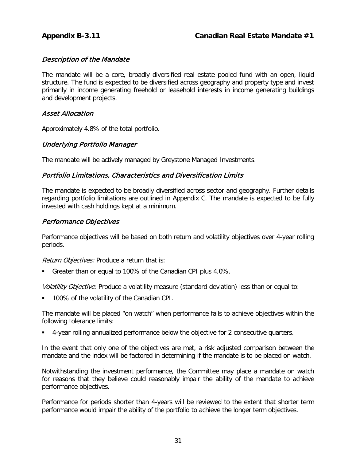<span id="page-32-0"></span>The mandate will be a core, broadly diversified real estate pooled fund with an open, liquid structure. The fund is expected to be diversified across geography and property type and invest primarily in income generating freehold or leasehold interests in income generating buildings and development projects.

# Asset Allocation

Approximately 4.8% of the total portfolio.

# Underlying Portfolio Manager

The mandate will be actively managed by Greystone Managed Investments.

# Portfolio Limitations, Characteristics and Diversification Limits

The mandate is expected to be broadly diversified across sector and geography. Further details regarding portfolio limitations are outlined in Appendix C. The mandate is expected to be fully invested with cash holdings kept at a minimum.

# Performance Objectives

Performance objectives will be based on both return and volatility objectives over 4-year rolling periods.

Return Objectives: Produce a return that is:

Greater than or equal to 100% of the Canadian CPI plus 4.0%.

Volatility Objective: Produce a volatility measure (standard deviation) less than or equal to:

100% of the volatility of the Canadian CPI.

The mandate will be placed "on watch" when performance fails to achieve objectives within the following tolerance limits:

4-year rolling annualized performance below the objective for 2 consecutive quarters.

In the event that only one of the objectives are met, a risk adjusted comparison between the mandate and the index will be factored in determining if the mandate is to be placed on watch.

Notwithstanding the investment performance, the Committee may place a mandate on watch for reasons that they believe could reasonably impair the ability of the mandate to achieve performance objectives.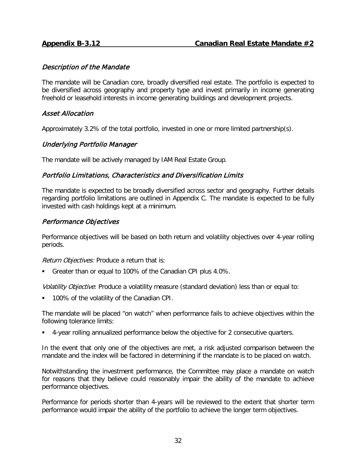<span id="page-33-0"></span>The mandate will be Canadian core, broadly diversified real estate. The portfolio is expected to be diversified across geography and property type and invest primarily in income generating freehold or leasehold interests in income generating buildings and development projects.

# Asset Allocation

Approximately 3.2% of the total portfolio, invested in one or more limited partnership(s).

# Underlying Portfolio Manager

The mandate will be actively managed by IAM Real Estate Group.

# Portfolio Limitations, Characteristics and Diversification Limits

The mandate is expected to be broadly diversified across sector and geography. Further details regarding portfolio limitations are outlined in Appendix C. The mandate is expected to be fully invested with cash holdings kept at a minimum.

# Performance Objectives

Performance objectives will be based on both return and volatility objectives over 4-year rolling periods.

Return Objectives: Produce a return that is:

Greater than or equal to 100% of the Canadian CPI plus 4.0%.

Volatility Objective: Produce a volatility measure (standard deviation) less than or equal to:

100% of the volatility of the Canadian CPI.

The mandate will be placed "on watch" when performance fails to achieve objectives within the following tolerance limits:

4-year rolling annualized performance below the objective for 2 consecutive quarters.

In the event that only one of the objectives are met, a risk adjusted comparison between the mandate and the index will be factored in determining if the mandate is to be placed on watch.

Notwithstanding the investment performance, the Committee may place a mandate on watch for reasons that they believe could reasonably impair the ability of the mandate to achieve performance objectives.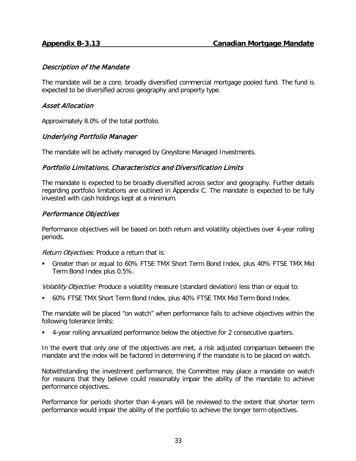<span id="page-34-0"></span>The mandate will be a core, broadly diversified commercial mortgage pooled fund. The fund is expected to be diversified across geography and property type.

# Asset Allocation

Approximately 8.0% of the total portfolio.

# Underlying Portfolio Manager

The mandate will be actively managed by Greystone Managed Investments.

# Portfolio Limitations, Characteristics and Diversification Limits

The mandate is expected to be broadly diversified across sector and geography. Further details regarding portfolio limitations are outlined in Appendix C. The mandate is expected to be fully invested with cash holdings kept at a minimum.

#### Performance Objectives

Performance objectives will be based on both return and volatility objectives over 4-year rolling periods.

Return Objectives: Produce a return that is:

 Greater than or equal to 60% FTSE TMX Short Term Bond Index, plus 40% FTSE TMX Mid Term Bond Index plus 0.5%.

Volatility Objective: Produce a volatility measure (standard deviation) less than or equal to:

60% FTSE TMX Short Term Bond Index, plus 40% FTSE TMX Mid Term Bond Index.

The mandate will be placed "on watch" when performance fails to achieve objectives within the following tolerance limits:

4-year rolling annualized performance below the objective for 2 consecutive quarters.

In the event that only one of the objectives are met, a risk adjusted comparison between the mandate and the index will be factored in determining if the mandate is to be placed on watch.

Notwithstanding the investment performance, the Committee may place a mandate on watch for reasons that they believe could reasonably impair the ability of the mandate to achieve performance objectives.